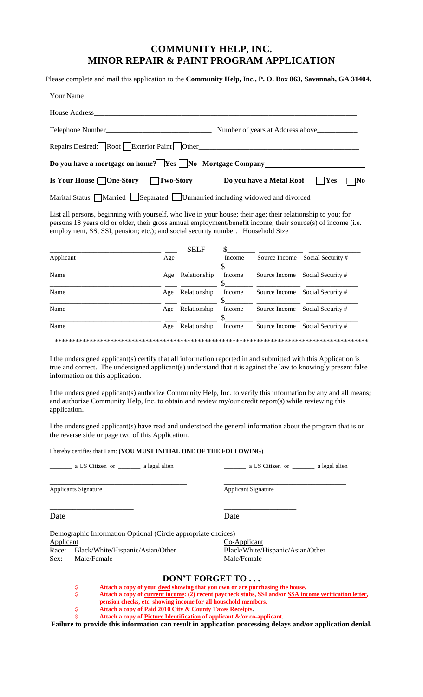## **COMMUNITY HELP, INC. MINOR REPAIR & PAINT PROGRAM APPLICATION**

Please complete and mail this application to the **Community Help, Inc., P. O. Box 863, Savannah, GA 31404.**

| Your Name                                                                                                                                                                                                                                                                                                            |                            |                  |        |                                                 |                                 |  |  |  |  |  |
|----------------------------------------------------------------------------------------------------------------------------------------------------------------------------------------------------------------------------------------------------------------------------------------------------------------------|----------------------------|------------------|--------|-------------------------------------------------|---------------------------------|--|--|--|--|--|
| House Address                                                                                                                                                                                                                                                                                                        |                            |                  |        |                                                 |                                 |  |  |  |  |  |
| Telephone Number_<br>Number of years at Address above___                                                                                                                                                                                                                                                             |                            |                  |        |                                                 |                                 |  |  |  |  |  |
| Repairs Desired Roof Exterior Paint Other                                                                                                                                                                                                                                                                            |                            |                  |        | <u> 1980 - Jan Barbarat, martin amerikan ba</u> |                                 |  |  |  |  |  |
| Do you have a mortgage on home? Yes No Mortgage Company                                                                                                                                                                                                                                                              |                            |                  |        |                                                 |                                 |  |  |  |  |  |
| <b>Is Your House</b> □ One-Story                                                                                                                                                                                                                                                                                     |                            | <b>Two-Story</b> |        | Do you have a Metal Roof                        | Yes<br>No                       |  |  |  |  |  |
| Marital Status Married Separated Unmarried including widowed and divorced                                                                                                                                                                                                                                            |                            |                  |        |                                                 |                                 |  |  |  |  |  |
| List all persons, beginning with yourself, who live in your house; their age; their relationship to you; for<br>persons 18 years old or older, their gross annual employment/benefit income; their source(s) of income (i.e.<br>employment, SS, SSI, pension; etc.); and social security number. Household Size_____ |                            |                  |        |                                                 |                                 |  |  |  |  |  |
| Applicant                                                                                                                                                                                                                                                                                                            | Age                        | <b>SELF</b>      | Income |                                                 | Source Income Social Security # |  |  |  |  |  |
|                                                                                                                                                                                                                                                                                                                      |                            |                  |        |                                                 |                                 |  |  |  |  |  |
| Name                                                                                                                                                                                                                                                                                                                 |                            | Age Relationship | Income |                                                 | Source Income Social Security # |  |  |  |  |  |
| Name                                                                                                                                                                                                                                                                                                                 |                            | Age Relationship | Income |                                                 | Source Income Social Security # |  |  |  |  |  |
| Name                                                                                                                                                                                                                                                                                                                 |                            | Age Relationship | Income |                                                 | Source Income Social Security # |  |  |  |  |  |
| Name                                                                                                                                                                                                                                                                                                                 |                            | Age Relationship | Income |                                                 | Source Income Social Security # |  |  |  |  |  |
|                                                                                                                                                                                                                                                                                                                      |                            |                  |        |                                                 |                                 |  |  |  |  |  |
| I the undersigned applicant(s) certify that all information reported in and submitted with this Application is<br>true and correct. The undersigned applicant(s) understand that it is against the law to knowingly present false<br>information on this application.                                                |                            |                  |        |                                                 |                                 |  |  |  |  |  |
| I the undersigned applicant(s) authorize Community Help, Inc. to verify this information by any and all means;<br>and authorize Community Help, Inc. to obtain and review my/our credit report(s) while reviewing this<br>application.                                                                               |                            |                  |        |                                                 |                                 |  |  |  |  |  |
| I the undersigned applicant(s) have read and understood the general information about the program that is on<br>the reverse side or page two of this Application.                                                                                                                                                    |                            |                  |        |                                                 |                                 |  |  |  |  |  |
| I hereby certifies that I am: (YOU MUST INITIAL ONE OF THE FOLLOWING)                                                                                                                                                                                                                                                |                            |                  |        |                                                 |                                 |  |  |  |  |  |
|                                                                                                                                                                                                                                                                                                                      |                            |                  |        |                                                 |                                 |  |  |  |  |  |
| Applicants Signature                                                                                                                                                                                                                                                                                                 | <b>Applicant Signature</b> |                  |        |                                                 |                                 |  |  |  |  |  |

Date Date Date

\_\_\_\_\_\_\_\_\_\_\_\_\_\_\_\_\_\_\_\_\_\_ \_\_\_\_\_\_\_\_\_\_\_\_\_\_\_\_\_\_\_

Demographic Information Optional (Circle appropriate choices) **Applicant** Race: Black/White/Hispanic/Asian/Other

Sex: Male/Female

| 10097                            |
|----------------------------------|
| Co-Applicant                     |
| Black/White/Hispanic/Asian/Other |
| Male/Female                      |

## **DON'T FORGET TO . . .**

- \$ **Attach a copy of your deed showing that you own or are purchasing the house.**
- \$ **Attach a copy of current income: (2) recent paycheck stubs, SSI and/or SSA income verification letter, pension checks, etc. showing income for all household members.** 
	- \$ **Attach a copy of Paid 2010 City & County Taxes Receipts.**
- \$ **Attach a copy of Picture Identification of applicant &/or co-applicant.**

**Failure to provide this information can result in application processing delays and/or application denial.**